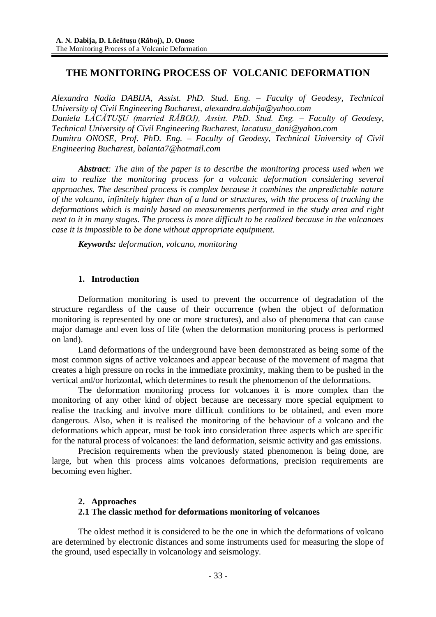# **THE MONITORING PROCESS OF VOLCANIC DEFORMATION**

*Alexandra Nadia DABIJA, Assist. PhD. Stud. Eng. – Faculty of Geodesy, Technical University of Civil Engineering Bucharest, [alexandra.dabija@yahoo.com](mailto:alexandra.dabija@yahoo.com) Daniela LĂCĂTUŞU (married RĂBOJ), Assist. PhD. Stud. Eng. – Faculty of Geodesy, Technical University of Civil Engineering Bucharest, [lacatusu\\_dani@yahoo.com](mailto:lacatusu_dani@yahoo.com) Dumitru ONOSE, Prof. PhD. Eng. – Faculty of Geodesy, Technical University of Civil Engineering Bucharest, [balanta7@hotmail.com](mailto:balanta7@hotmail.com)*

*Abstract: The aim of the paper is to describe the monitoring process used when we aim to realize the monitoring process for a volcanic deformation considering several approaches. The described process is complex because it combines the unpredictable nature of the volcano, infinitely higher than of a land or structures, with the process of tracking the deformations which is mainly based on measurements performed in the study area and right next to it in many stages. The process is more difficult to be realized because in the volcanoes case it is impossible to be done without appropriate equipment.*

*Keywords: deformation, volcano, monitoring*

### **1. Introduction**

Deformation monitoring is used to prevent the occurrence of degradation of the structure regardless of the cause of their occurrence (when the object of deformation monitoring is represented by one or more structures), and also of phenomena that can cause major damage and even loss of life (when the deformation monitoring process is performed on land).

Land deformations of the underground have been demonstrated as being some of the most common signs of active volcanoes and appear because of the movement of magma that creates a high pressure on rocks in the immediate proximity, making them to be pushed in the vertical and/or horizontal, which determines to result the phenomenon of the deformations.

The deformation monitoring process for volcanoes it is more complex than the monitoring of any other kind of object because are necessary more special equipment to realise the tracking and involve more difficult conditions to be obtained, and even more dangerous. Also, when it is realised the monitoring of the behaviour of a volcano and the deformations which appear, must be took into consideration three aspects which are specific for the natural process of volcanoes: the land deformation, seismic activity and gas emissions.

Precision requirements when the previously stated phenomenon is being done, are large, but when this process aims volcanoes deformations, precision requirements are becoming even higher.

### **2. Approaches**

### **2.1 The classic method for deformations monitoring of volcanoes**

The oldest method it is considered to be the one in which the deformations of volcano are determined by electronic distances and some instruments used for measuring the slope of the ground, used especially in volcanology and seismology.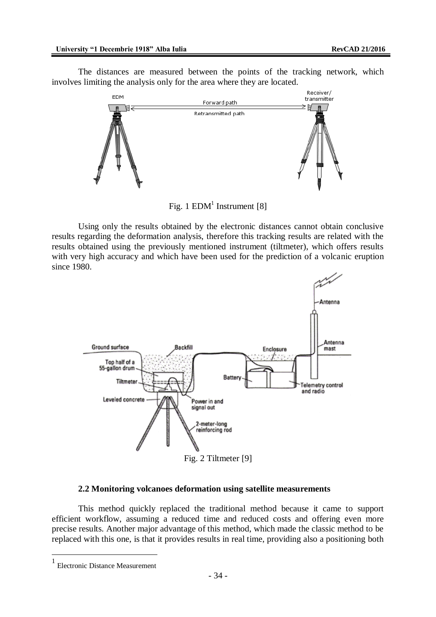The distances are measured between the points of the tracking network, which involves limiting the analysis only for the area where they are located.



Fig. 1  $EDM<sup>1</sup>$  Instrument [8]

Using only the results obtained by the electronic distances cannot obtain conclusive results regarding the deformation analysis, therefore this tracking results are related with the results obtained using the previously mentioned instrument (tiltmeter), which offers results with very high accuracy and which have been used for the prediction of a volcanic eruption since 1980.



#### **2.2 Monitoring volcanoes deformation using satellite measurements**

This method quickly replaced the traditional method because it came to support efficient workflow, assuming a reduced time and reduced costs and offering even more precise results. Another major advantage of this method, which made the classic method to be replaced with this one, is that it provides results in real time, providing also a positioning both

 $\overline{a}$ 

<sup>1</sup> Electronic Distance Measurement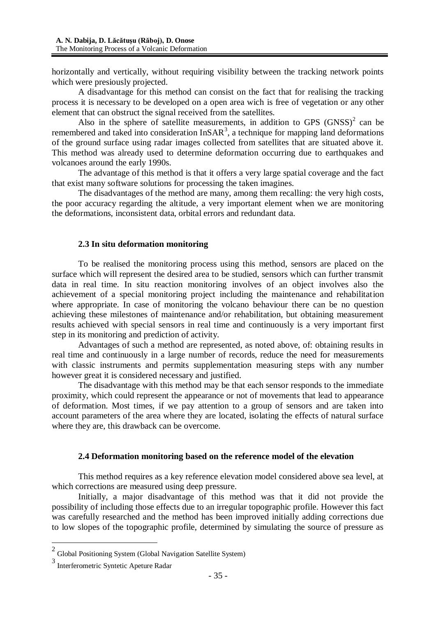horizontally and vertically, without requiring visibility between the tracking network points which were presiously projected.

A disadvantage for this method can consist on the fact that for realising the tracking process it is necessary to be developed on a open area wich is free of vegetation or any other element that can obstruct the signal received from the satellites.

Also in the sphere of satellite measurements, in addition to GPS  $(GNSS)^2$  can be remembered and taked into consideration  $InSAR<sup>3</sup>$ , a technique for mapping land deformations of the ground surface using radar images collected from satellites that are situated above it. This method was already used to determine deformation occurring due to earthquakes and volcanoes around the early 1990s.

The advantage of this method is that it offers a very large spatial coverage and the fact that exist many software solutions for processing the taken imagines.

The disadvantages of the method are many, among them recalling: the very high costs, the poor accuracy regarding the altitude, a very important element when we are monitoring the deformations, inconsistent data, orbital errors and redundant data.

#### **2.3 In situ deformation monitoring**

To be realised the monitoring process using this method, sensors are placed on the surface which will represent the desired area to be studied, sensors which can further transmit data in real time. In situ reaction monitoring involves of an object involves also the achievement of a special monitoring project including the maintenance and rehabilitation where appropriate. In case of monitoring the volcano behaviour there can be no question achieving these milestones of maintenance and/or rehabilitation, but obtaining measurement results achieved with special sensors in real time and continuously is a very important first step in its monitoring and prediction of activity.

Advantages of such a method are represented, as noted above, of: obtaining results in real time and continuously in a large number of records, reduce the need for measurements with classic instruments and permits supplementation measuring steps with any number however great it is considered necessary and justified.

The disadvantage with this method may be that each sensor responds to the immediate proximity, which could represent the appearance or not of movements that lead to appearance of deformation. Most times, if we pay attention to a group of sensors and are taken into account parameters of the area where they are located, isolating the effects of natural surface where they are, this drawback can be overcome.

#### **2.4 Deformation monitoring based on the reference model of the elevation**

This method requires as a key reference elevation model considered above sea level, at which corrections are measured using deep pressure.

Initially, a major disadvantage of this method was that it did not provide the possibility of including those effects due to an irregular topographic profile. However this fact was carefully researched and the method has been improved initially adding corrections due to low slopes of the topographic profile, determined by simulating the source of pressure as

 $\overline{a}$ 

 $2$  Global Positioning System (Global Navigation Satellite System)

<sup>3</sup> Interferometric Syntetic Apeture Radar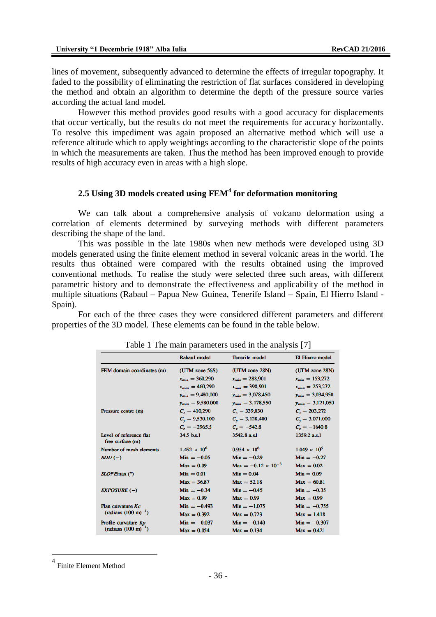lines of movement, subsequently advanced to determine the effects of irregular topography. It faded to the possibility of eliminating the restriction of flat surfaces considered in developing the method and obtain an algorithm to determine the depth of the pressure source varies according the actual land model.

However this method provides good results with a good accuracy for displacements that occur vertically, but the results do not meet the requirements for accuracy horizontally. To resolve this impediment was again proposed an alternative method which will use a reference altitude which to apply weightings according to the characteristic slope of the points in which the measurements are taken. Thus the method has been improved enough to provide results of high accuracy even in areas with a high slope.

## **2.5 Using 3D models created using FEM<sup>4</sup> for deformation monitoring**

We can talk about a comprehensive analysis of volcano deformation using a correlation of elements determined by surveying methods with different parameters describing the shape of the land.

This was possible in the late 1980s when new methods were developed using 3D models generated using the finite element method in several volcanic areas in the world. The results thus obtained were compared with the results obtained using the improved conventional methods. To realise the study were selected three such areas, with different parametric history and to demonstrate the effectiveness and applicability of the method in multiple situations (Rabaul – Papua New Guinea, Tenerife Island – Spain, El Hierro Island - Spain).

For each of the three cases they were considered different parameters and different properties of the 3D model. These elements can be found in the table below.

|                                                 | Rabaul model                 | <b>Tenerife model</b>               | El Hierro model              |
|-------------------------------------------------|------------------------------|-------------------------------------|------------------------------|
| FEM domain coordinates (m)                      | (UTM zone 56S)               | (UTM zone 28N)                      | (UTM zone 28N)               |
|                                                 | $x_{\min} = 360,290$         | $x_{\min} = 288,901$                | $x_{\min} = 153,272$         |
|                                                 | $x_{\text{max}} = 460,290$   | $x_{\text{max}} = 398,901$          | $x_{\text{max}} = 253,272$   |
|                                                 | $y_{\min} = 9,480,000$       | $y_{\text{min}} = 3,078,450$        | $y_{\text{min}} = 3,034,950$ |
|                                                 | $y_{\text{max}} = 9,580,000$ | $y_{\text{max}} = 3,178,550$        | $y_{\text{max}} = 3,121,050$ |
| Pressure centre (m)                             | $C_r = 410,290$              | $C_r = 339,030$                     | $C_r = 203,272$              |
|                                                 | $C_v = 9,530,100$            | $C_v = 3,128,400$                   | $C_v = 3,071,000$            |
|                                                 | $C_z = -2965.5$              | $C_z = -542.8$                      | $C_z = -1640.8$              |
| Level of reference flat<br>$free$ surface $(m)$ | 34.5 b.s.1                   | 3542.8 a.s.l                        | 1359.2 a.s.1                 |
| Number of mesh elements                         | $1.452 \times 10^{6}$        | $0.954 \times 10^{6}$               | $1.049 \times 10^{6}$        |
| $RDD(-)$                                        | $Min = -0.05$                | $Min = -0.29$                       | $Min = -0.27$                |
|                                                 | $Max = 0.09$                 | $\text{Max} = -0.12 \times 10^{-3}$ | $Max = 0.02$                 |
| SLOPEmax (°)                                    | $Min = 0.01$                 | $Min = 0.04$                        | $Min = 0.09$                 |
|                                                 | $Max = 36.87$                | $Max = 52.18$                       | $Max = 60.81$                |
| $EXPOSURE (-)$                                  | $Min = -0.34$                | $Min = -0.45$                       | $Min = -0.35$                |
|                                                 | $Max = 0.99$                 | $Max = 0.99$                        | $Max = 0.99$                 |
| Plan curvature Kc<br>$(radians (100 m)^{-1})$   | $Min = -0.493$               | $Min = -1.075$                      | $Min = -0.755$               |
|                                                 | $Max = 0.392$                | $Max = 0.723$                       | $Max = 1.418$                |
| Profile curvature Kp                            | $Min = -0.037$               | $Min = -0.140$                      | $Min = -0.307$               |
| $(radians (100 m)^{-1})$                        | $Max = 0.054$                | $Max = 0.134$                       | $Max = 0.421$                |
|                                                 |                              |                                     |                              |

Table 1 The main parameters used in the analysis [7]

 $\overline{a}$ 

<sup>4</sup> Finite Element Method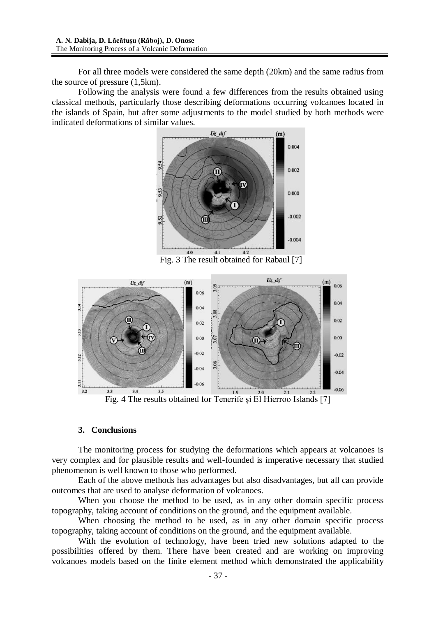For all three models were considered the same depth (20km) and the same radius from the source of pressure (1,5km).

Following the analysis were found a few differences from the results obtained using classical methods, particularly those describing deformations occurring volcanoes located in the islands of Spain, but after some adjustments to the model studied by both methods were indicated deformations of similar values.



Fig. 3 The result obtained for Rabaul [7]



Fig. 4 The results obtained for Tenerife și El Hierroo Islands [7]

### **3. Conclusions**

The monitoring process for studying the deformations which appears at volcanoes is very complex and for plausible results and well-founded is imperative necessary that studied phenomenon is well known to those who performed.

Each of the above methods has advantages but also disadvantages, but all can provide outcomes that are used to analyse deformation of volcanoes.

When you choose the method to be used, as in any other domain specific process topography, taking account of conditions on the ground, and the equipment available.

When choosing the method to be used, as in any other domain specific process topography, taking account of conditions on the ground, and the equipment available.

With the evolution of technology, have been tried new solutions adapted to the possibilities offered by them. There have been created and are working on improving volcanoes models based on the finite element method which demonstrated the applicability